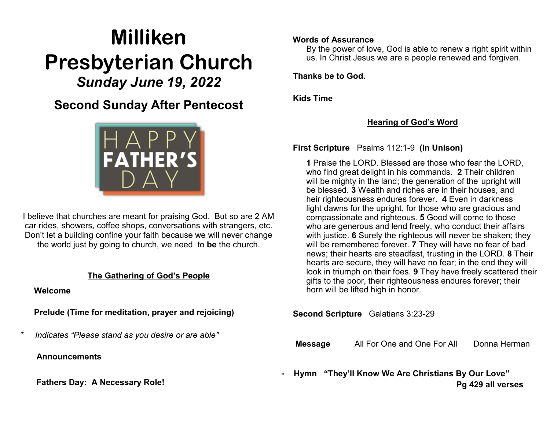# **Milliken Presbyterian Church** *Sunday June 19, 2022*

**Second Sunday After Pentecost**



I believe that churches are meant for praising God. But so are 2 AM car rides, showers, coffee shops, conversations with strangers, etc. Don't let a building confine your faith because we will never change the world just by going to church, we need to **be** the church.

#### **The Gathering of God's People**

 **Welcome**

 **Prelude (Time for meditation, prayer and rejoicing)**

*\* Indicates "Please stand as you desire or are able"*

 **Announcements**

**Fathers Day: A Necessary Role!**

#### **Words of Assurance**

By the power of love, God is able to renew a right spirit within us. In Christ Jesus we are a people renewed and forgiven.

 **Thanks be to God.** 

 **Kids Time**

## **Hearing of God's Word**

 **First Scripture** Psalms 112:1-9 **(In Unison)**

**1** [P](https://www.biblestudytools.com/psalms/112-1.html)raise the LORD. Blessed are those who fear the LORD, who find great delight in his commands. **2** [T](https://www.biblestudytools.com/psalms/112-2.html)heir children will be mighty in the land; the generation of the upright will be blessed. **3** [W](https://www.biblestudytools.com/psalms/112-3.html)ealth and riches are in their houses, and heir righteousness endures forever. **4** [Ev](https://www.biblestudytools.com/psalms/112-4.html)en in darkness light dawns for the upright, for those who are gracious and compassionate and righteous. **5** [Go](https://www.biblestudytools.com/psalms/112-5.html)od will come to those who are generous and lend freely, who conduct their affairs with justice. **6** [S](https://www.biblestudytools.com/psalms/112-6.html)urely the righteous will never be shaken; they will be remembered forever. **[7](https://www.biblestudytools.com/psalms/112-7.html)** They will have no fear of bad news; their hearts are steadfast, trusting in the LORD. **8** [Th](https://www.biblestudytools.com/psalms/112-8.html)eir hearts are secure, they will have no fear; in the end they will look in triumph on their foes. **9** [Th](https://www.biblestudytools.com/psalms/112-9.html)ey have freely scattered their gifts to the poor, their righteousness endures forever; their horn will be lifted high in honor.

**Second Scripture** Galatians 3:23-29

**Message** All For One and One For All Donna Herman

 **Hymn "They'll Know We Are Christians By Our Love" Pg 429 all verses**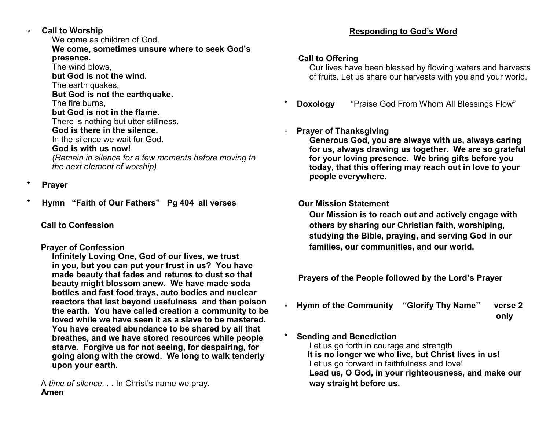**Call to Worship**

We come as children of God. **We come, sometimes unsure where to seek God's presence.**  The wind blows, **but God is not the wind.**  The earth quakes, **But God is not the earthquake.** The fire burns, **but God is not in the flame.** There is nothing but utter stillness. **God is there in the silence.** In the silence we wait for God. **God is with us now!** *(Remain in silence for a few moments before moving to the next element of worship)*

- **\* Prayer**
- **\* Hymn "Faith of Our Fathers" Pg 404 all verses**

#### **Call to Confession**

#### **Prayer of Confession**

 **Infinitely Loving One, God of our lives, we trust in you, but you can put your trust in us? You have made beauty that fades and returns to dust so that beauty might blossom anew. We have made soda bottles and fast food trays, auto bodies and nuclear reactors that last beyond usefulness and then poison the earth. You have called creation a community to be loved while we have seen it as a slave to be mastered. You have created abundance to be shared by all that breathes, and we have stored resources while people starve. Forgive us for not seeing, for despairing, for going along with the crowd. We long to walk tenderly upon your earth.**

 A *time of silence. . .* In Christ's name we pray. **Amen**

#### **Responding to God's Word**

#### **Call to Offering**

Our lives have been blessed by flowing waters and harvests of fruits. Let us share our harvests with you and your world.

**Doxology** "Praise God From Whom All Blessings Flow"

### **Prayer of Thanksgiving**

**Generous God, you are always with us, always caring for us, always drawing us together. We are so grateful for your loving presence. We bring gifts before you today, that this offering may reach out in love to your people everywhere.**

#### **Our Mission Statement**

**Our Mission is to reach out and actively engage with others by sharing our Christian faith, worshiping, studying the Bible, praying, and serving God in our families, our communities, and our world.**

 **Prayers of the People followed by the Lord's Prayer** 

 **Hymn of the Community "Glorify Thy Name" verse 2 only**

#### **Sending and Benediction**

Let us go forth in courage and strength  **It is no longer we who live, but Christ lives in us!** Let us go forward in faithfulness and love! **Lead us, O God, in your righteousness, and make our way straight before us.**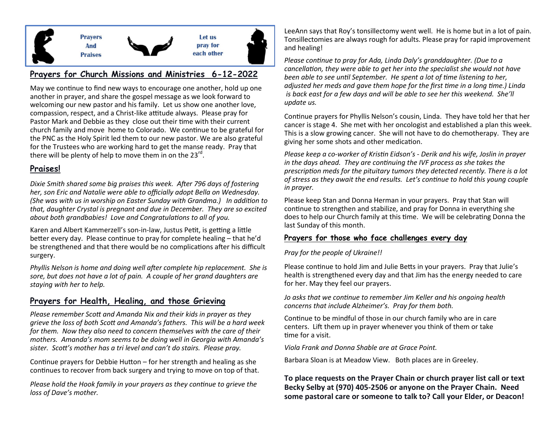

#### **Prayers for Church Missions and Ministries 6-12-2022**

May we continue to find new ways to encourage one another, hold up one another in prayer, and share the gospel message as we look forward to welcoming our new pastor and his family. Let us show one another love, compassion, respect, and a Christ-like attitude always. Please pray for Pastor Mark and Debbie as they close out their time with their current church family and move home to Colorado. We continue to be grateful for the PNC as the Holy Spirit led them to our new pastor. We are also grateful for the Trustees who are working hard to get the manse ready. Pray that there will be plenty of help to move them in on the 23 $^{\text{rd}}$ .

#### **Praises!**

*Dixie Smith shared some big praises this week. After 796 days of fostering her, son Eric and Natalie were able to officially adopt Bella on Wednesday. (She was with us in worship on Easter Sunday with Grandma.) In addition to that, daughter Crystal is pregnant and due in December. They are so excited about both grandbabies! Love and Congratulations to all of you.*

Karen and Albert Kammerzell's son-in-law, Justus Petit, is getting a little better every day. Please continue to pray for complete healing – that he'd be strengthened and that there would be no complications after his difficult surgery.

*Phyllis Nelson is home and doing well after complete hip replacement. She is sore, but does not have a lot of pain. A couple of her grand daughters are staying with her to help.* 

#### **Prayers for Health, Healing, and those Grieving**

*Please remember Scott and Amanda Nix and their kids in prayer as they grieve the loss of both Scott and Amanda's fathers. This will be a hard week for them. Now they also need to concern themselves with the care of their mothers. Amanda's mom seems to be doing well in Georgia with Amanda's sister. Scott's mother has a tri level and can't do stairs. Please pray.*

Continue prayers for Debbie Hutton – for her strength and healing as she continues to recover from back surgery and trying to move on top of that.

*Please hold the Hook family in your prayers as they continue to grieve the loss of Dave's mother.*

LeeAnn says that Roy's tonsillectomy went well. He is home but in a lot of pain. Tonsillectomies are always rough for adults. Please pray for rapid improvement and healing!

*Please continue to pray for Ada, Linda Daly's granddaughter. (Due to a cancellation, they were able to get her into the specialist she would not have been able to see until September. He spent a lot of time listening to her, adjusted her meds and gave them hope for the first time in a long time.) Linda is back east for a few days and will be able to see her this weekend. She'll update us.* 

Continue prayers for Phyllis Nelson's cousin, Linda. They have told her that her cancer is stage 4. She met with her oncologist and established a plan this week. This is a slow growing cancer. She will not have to do chemotherapy. They are giving her some shots and other medication.

*Please keep a co-worker of Kristin Eidson's - Derik and his wife, Joslin in prayer in the days ahead. They are continuing the IVF process as she takes the prescription meds for the pituitary tumors they detected recently. There is a lot of stress as they await the end results. Let's continue to hold this young couple in prayer.*

Please keep Stan and Donna Herman in your prayers. Pray that Stan will continue to strengthen and stabilize, and pray for Donna in everything she does to help our Church family at this time. We will be celebrating Donna the last Sunday of this month.

#### **Prayers for those who face challenges every day**

#### *Pray for the people of Ukraine!!*

Please continue to hold Jim and Julie Betts in your prayers. Pray that Julie's health is strengthened every day and that Jim has the energy needed to care for her. May they feel our prayers.

*Jo asks that we continue to remember Jim Keller and his ongoing health concerns that include Alzheimer's. Pray for them both.*

Continue to be mindful of those in our church family who are in care centers. Lift them up in prayer whenever you think of them or take time for a visit.

*Viola Frank and Donna Shable are at Grace Point.* 

Barbara Sloan is at Meadow View. Both places are in Greeley.

**To place requests on the Prayer Chain or church prayer list call or text Becky Selby at (970) 405-2506 or anyone on the Prayer Chain. Need some pastoral care or someone to talk to? Call your Elder, or Deacon!**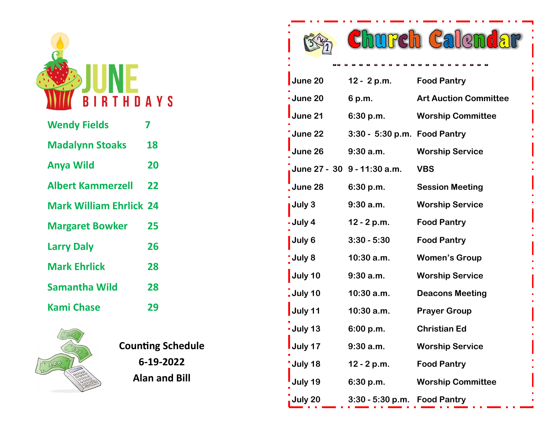

| <b>Wendy Fields</b>            |    |
|--------------------------------|----|
| <b>Madalynn Stoaks</b>         | 18 |
| <b>Anya Wild</b>               | 20 |
| <b>Albert Kammerzell</b>       | 22 |
| <b>Mark William Ehrlick 24</b> |    |
| <b>Margaret Bowker</b>         | 25 |
| <b>Larry Daly</b>              | 26 |
| <b>Mark Ehrlick</b>            | 28 |
| <b>Samantha Wild</b>           | 28 |
| <b>Kami Chase</b>              | 29 |



**Counting Schedule 6-19-2022 Alan and Bill**

|                                    |                              | ng Calend                    |
|------------------------------------|------------------------------|------------------------------|
|                                    |                              |                              |
| June 20                            | 12 - 2 p.m.                  | <b>Food Pantry</b>           |
| <b>June 20</b>                     | 6 p.m.                       | <b>Art Auction Committee</b> |
| <b>June 21</b>                     | 6:30 p.m.                    | <b>Worship Committee</b>     |
| <b>June 22</b>                     | 3:30 - 5:30 p.m. Food Pantry |                              |
| June 26                            | $9:30$ a.m.                  | <b>Worship Service</b>       |
|                                    | June 27 - 30 9 - 11:30 a.m.  | <b>VBS</b>                   |
| <b>June 28</b>                     | 6:30 p.m.                    | <b>Session Meeting</b>       |
| <b>July 3</b>                      | 9:30a.m.                     | <b>Worship Service</b>       |
| July 4                             | 12 - 2 p.m.                  | <b>Food Pantry</b>           |
| July 6                             | $3:30 - 5:30$                | <b>Food Pantry</b>           |
| July 8                             | $10:30$ a.m.                 | <b>Women's Group</b>         |
| July 10                            | $9:30$ a.m.                  | <b>Worship Service</b>       |
| $\overline{\phantom{a}}$ . July 10 | $10:30$ a.m.                 | <b>Deacons Meeting</b>       |
| July 11                            | $10:30$ a.m.                 | <b>Prayer Group</b>          |
| - July 13                          | 6:00 p.m.                    | <b>Christian Ed</b>          |
| July 17                            | $9:30$ a.m.                  | <b>Worship Service</b>       |
| July 18                            | $12 - 2 p.m.$                | <b>Food Pantry</b>           |
| July 19                            | 6:30 p.m.                    | <b>Worship Committee</b>     |

**July 20 3:30 - 5:30 p.m. Food Pantry**